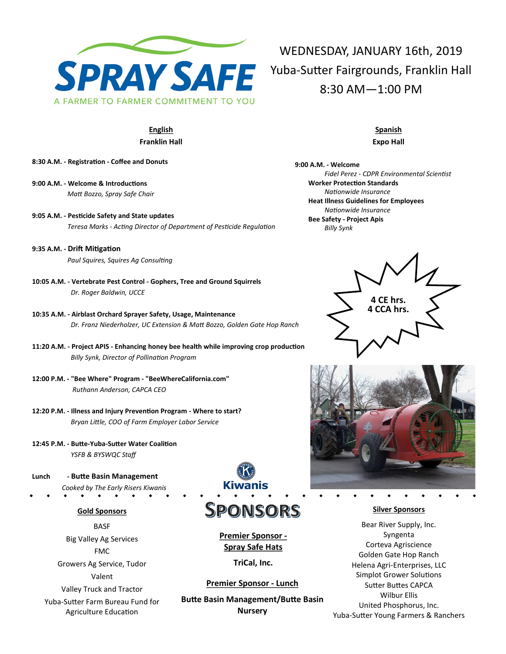

## **English Franklin Hall**

- **8:30 A.M. - Registration - Coffee and Donuts**
- **9:00 A.M. - Welcome & Introductions**  *Matt Bozzo, Spray Safe Chair*
- **9:05 A.M. - Pesticide Safety and State updates** *Teresa Marks - Acting Director of Department of Pesticide Regulation*
- **9:35 A.M. - Drift Mitigation** *Paul Squires, Squires Ag Consulting*
- **10:05 A.M. - Vertebrate Pest Control - Gophers, Tree and Ground Squirrels** *Dr. Roger Baldwin, UCCE*
- **10:35 A.M. - Airblast Orchard Sprayer Safety, Usage, Maintenance** *Dr. Franz Niederholzer, UC Extension & Matt Bozzo, Golden Gate Hop Ranch*
- **11:20 A.M. - Project APIS - Enhancing honey bee health while improving crop production**  *Billy Synk, Director of Pollination Program*
- **12:00 P.M. - "Bee Where" Program - "BeeWhereCalifornia.com"** *Ruthann Anderson, CAPCA CEO*
- **12:20 P.M. - Illness and Injury Prevention Program - Where to start?** *Bryan Little, COO of Farm Employer Labor Service*
- **12:45 P.M. - Butte-Yuba-Sutter Water Coalition** *YSFB & BYSWQC Staff*
- **Lunch - Butte Basin Management** *Cooked by The Early Risers Kiwanis*

#### **Gold Sponsors**

**BASF** Big Valley Ag Services FMC Growers Ag Service, Tudor Valent

Valley Truck and Tractor

Yuba-Sutter Farm Bureau Fund for Agriculture Education



# SPONSORS

**Premier Sponsor - Spray Safe Hats**

**TriCal, Inc.**

#### **Premier Sponsor - Lunch**

**Butte Basin Management/Butte Basin Nursery**

WEDNESDAY, JANUARY 16th, 2019 Yuba-Sutter Fairgrounds, Franklin Hall 8:30 AM—1:00 PM

## **Spanish Expo Hall**

**9:00 A.M. - Welcome** *Fidel Perez - CDPR Environmental Scientist* **Worker Protection Standards** *Nationwide Insurance* **Heat Illness Guidelines for Employees** *Nationwide Insurance* **Bee Safety - Project Apis** *Billy Synk*





## **Silver Sponsors**

Bear River Supply, Inc. Syngenta Corteva Agriscience Golden Gate Hop Ranch Helena Agri-Enterprises, LLC Simplot Grower Solutions Sutter Buttes CAPCA Wilbur Ellis United Phosphorus, Inc. Yuba-Sutter Young Farmers & Ranchers